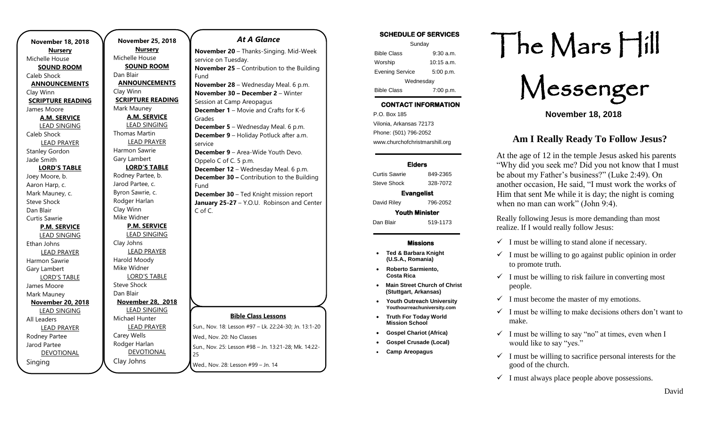**November 18, 2018 Nursery** Michelle House **SOUND ROOM** Caleb Shock **ANNOUNCEMENTS** Clay Winn **SCRIPTURE READING** James Moore **A.M. SERVICE** LEAD SINGING Caleb Shock LEAD PRAYER Stanley Gordon Jade Smith **LORD'S TABLE** Joey Moore, b. Aaron Harp, c. Mark Mauney, c. Steve Shock Dan Blair Curtis Sawrie **P.M. SERVICE** LEAD SINGING Ethan Johns LEAD PRAYER Harmon Sawrie Gary Lambert LORD'S TABLE James Moore Mark Mauney **November 20, 2018** LEAD SINGING All Leaders LEAD PRAYER Rodney Partee Jarod Partee DEVOTIONAL Singing

**November 25, 2018 Nursery** Michelle House **SOUND ROOM** Dan Blair **ANNOUNCEMENTS** Clay Winn **SCRIPTURE READING** Mark Mauney **A.M. SERVICE** LEAD SINGING Thomas Martin LEAD PRAYER Harmon Sawrie Gary Lambert **LORD'S TABLE** Rodney Partee, b. Jarod Partee, c. Byron Sawrie, c. Rodger Harlan Clay Winn Mike Widner **P.M. SERVICE** LEAD SINGING Clay Johns LEAD PRAYER Harold Moody Mike Widner LORD'S TABLE Steve Shock Dan Blair **November 28, 2018** LEAD SINGING Michael Hunter LEAD PRAYER Carey Wells Rodger Harlan DEVOTIONAL Clay Johns 25 Fund Grades service Fund C of C.

### *At A Glance*

**Bible Class Lessons** Sun., Nov. 18: Lesson #97 – Lk. 22:24-30; Jn. 13:1-20 Wed., Nov. 20: No Classes Sun., Nov. 25: Lesson #98 – Jn. 13:21-28; Mk. 14:22- Wed., Nov. 28: Lesson #99 – Jn. 14 **November 20** – Thanks-Singing. Mid-Week service on Tuesday. **November 25** – Contribution to the Building **November 28** – Wednesday Meal. 6 p.m. **November 30 – December 2** – Winter Session at Camp Areopagus **December 1** – Movie and Crafts for K-6 **December 5** – Wednesday Meal. 6 p.m. **December 9** – Holiday Potluck after a.m. **December 9** – Area-Wide Youth Devo. Oppelo C of C. 5 p.m. **December 12** – Wednesday Meal. 6 p.m. **December 30 –** Contribution to the Building **December 30** – Ted Knight mission report **January 25-27** – Y.O.U. Robinson and Center

### **SCHEDULE OF SERVICES**

| Sunday                 |              |
|------------------------|--------------|
| <b>Bible Class</b>     | $9:30$ a.m.  |
| Worship                | $10:15$ a.m. |
| <b>Evening Service</b> | 5:00 p.m.    |
| Wednesday              |              |
| <b>Bible Class</b>     | 7:00 p.m.    |

## **CONTACT INFORMATION**

. .o. Box 166<br>Vilonia, Arkansas 72173 P.O. Box 185 Phone: (501) 796-2052 www.churchofchristmarshill.org

### **Elders**

Curtis Sawrie 849-2365 Steve Shock 328-7072

### **Evangelist**

David Riley 796-2052

**Youth Minister** 

Dan Blair 519-1173

### **Missions**

- **Ted & Barbara Knight (U.S.A., Romania)**
- **Roberto Sarmiento, Costa Rica**
- **Main Street Church of Christ (Stuttgart, Arkansas)**
- **Youth Outreach University**
- **Youthourreachuniversity.com** • **Truth For Today World Mission School**
- **Gospel Chariot (Africa)**
- **Gospel Crusade (Local)**
- **Camp Areopagus**

# The Mars Hill

Messenger

**November 18, 2018**

## **Am I Really Ready To Follow Jesus?**

At the age of 12 in the temple Jesus asked his parents "Why did you seek me? Did you not know that I must be about my Father's business?" (Luke 2:49). On another occasion, He said, "I must work the works of Him that sent Me while it is day; the night is coming when no man can work" (John 9:4).

Really following Jesus is more demanding than most realize. If I would really follow Jesus:

- $\checkmark$  I must be willing to stand alone if necessary.
- $\checkmark$  I must be willing to go against public opinion in order to promote truth.
- $\checkmark$  I must be willing to risk failure in converting most people.
- $\checkmark$  I must become the master of my emotions.
- $\checkmark$  I must be willing to make decisions others don't want to make.
- $\checkmark$  I must be willing to say "no" at times, even when I would like to say "yes."
- $\checkmark$  I must be willing to sacrifice personal interests for the good of the church.
- $\checkmark$  I must always place people above possessions.